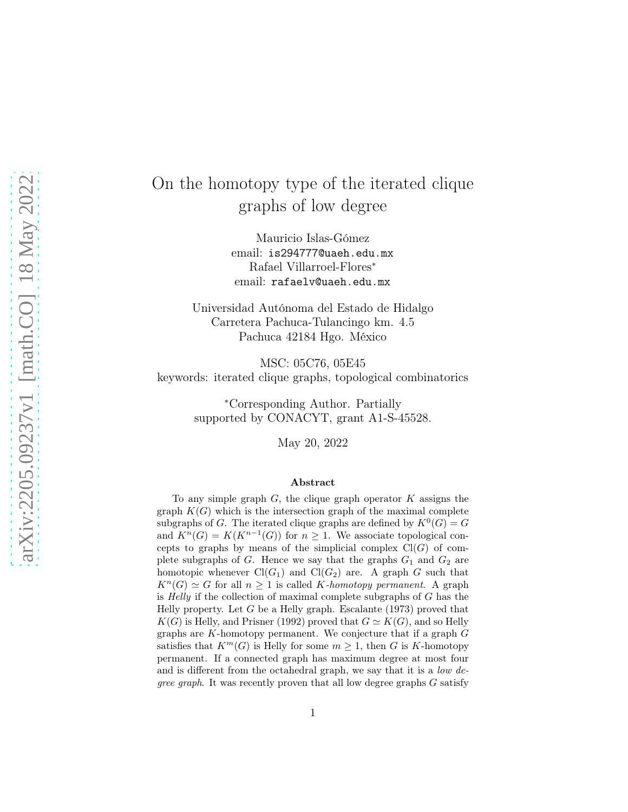# On the homotopy type of the iterated clique graphs of low degree

Mauricio Islas-Gómez email: is294777@uaeh.edu.mx Rafael Villarroel-Flores<sup>∗</sup> email: rafaelv@uaeh.edu.mx

Universidad Autónoma del Estado de Hidalgo Carretera Pachuca-Tulancingo km. 4.5 Pachuca 42184 Hgo. México

MSC: 05C76, 05E45 keywords: iterated clique graphs, topological combinatorics

> <sup>∗</sup>Corresponding Author. Partially supported by CONACYT, grant A1-S-45528.

> > May 20, 2022

#### Abstract

To any simple graph  $G$ , the clique graph operator  $K$  assigns the graph  $K(G)$  which is the intersection graph of the maximal complete subgraphs of G. The iterated clique graphs are defined by  $K^0(G) = G$ and  $K^n(G) = K(K^{n-1}(G))$  for  $n \geq 1$ . We associate topological concepts to graphs by means of the simplicial complex  $Cl(G)$  of complete subgraphs of  $G$ . Hence we say that the graphs  $G_1$  and  $G_2$  are homotopic whenever  $Cl(G_1)$  and  $Cl(G_2)$  are. A graph G such that  $K^{n}(G) \simeq G$  for all  $n \geq 1$  is called K-homotopy permanent. A graph is *Helly* if the collection of maximal complete subgraphs of  $G$  has the Helly property. Let  $G$  be a Helly graph. Escalante (1973) proved that  $K(G)$  is Helly, and Prisner (1992) proved that  $G \simeq K(G)$ , and so Helly graphs are K-homotopy permanent. We conjecture that if a graph G satisfies that  $K^m(G)$  is Helly for some  $m \geq 1$ , then G is K-homotopy permanent. If a connected graph has maximum degree at most four and is different from the octahedral graph, we say that it is a *low degree graph*. It was recently proven that all low degree graphs  $G$  satisfy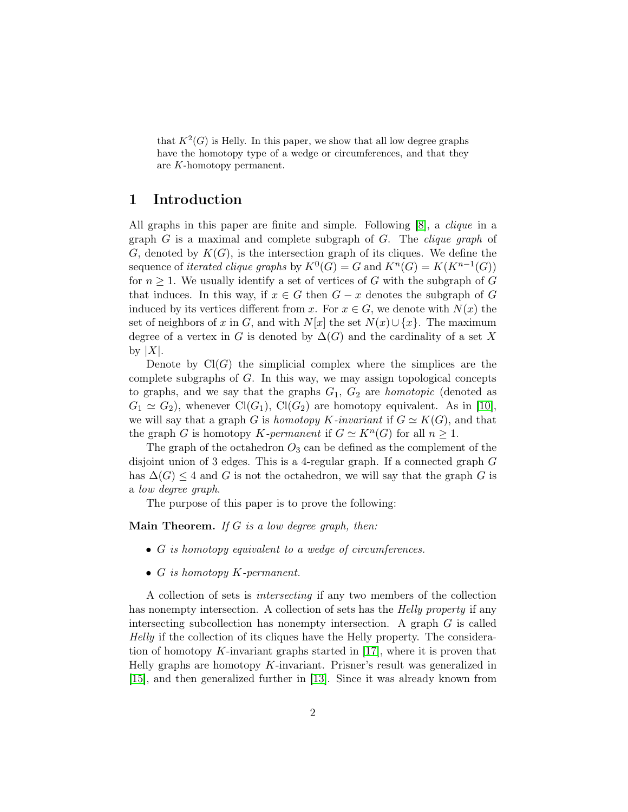that  $K^2(G)$  is Helly. In this paper, we show that all low degree graphs have the homotopy type of a wedge or circumferences, and that they are K-homotopy permanent.

#### 1 Introduction

All graphs in this paper are finite and simple. Following [\[8\]](#page-12-0), a *clique* in a graph  $G$  is a maximal and complete subgraph of  $G$ . The *clique graph* of G, denoted by  $K(G)$ , is the intersection graph of its cliques. We define the sequence of *iterated clique graphs* by  $K^0(G) = G$  and  $K^n(G) = K(K^{n-1}(G))$ for  $n \geq 1$ . We usually identify a set of vertices of G with the subgraph of G that induces. In this way, if  $x \in G$  then  $G - x$  denotes the subgraph of G induced by its vertices different from x. For  $x \in G$ , we denote with  $N(x)$  the set of neighbors of x in G, and with  $N[x]$  the set  $N(x) \cup \{x\}$ . The maximum degree of a vertex in G is denoted by  $\Delta(G)$  and the cardinality of a set X by  $|X|$ .

Denote by  $Cl(G)$  the simplicial complex where the simplices are the complete subgraphs of G. In this way, we may assign topological concepts to graphs, and we say that the graphs  $G_1, G_2$  are *homotopic* (denoted as  $G_1 \simeq G_2$ ), whenever Cl( $G_1$ ), Cl( $G_2$ ) are homotopy equivalent. As in [\[10\]](#page-12-1), we will say that a graph G is homotopy K-invariant if  $G \simeq K(G)$ , and that the graph G is homotopy K-permanent if  $G \simeq K^{n}(G)$  for all  $n \geq 1$ .

The graph of the octahedron  $O_3$  can be defined as the complement of the disjoint union of 3 edges. This is a 4-regular graph. If a connected graph G has  $\Delta(G) \leq 4$  and G is not the octahedron, we will say that the graph G is a low degree graph.

The purpose of this paper is to prove the following:

**Main Theorem.** If  $G$  is a low degree graph, then:

- G is homotopy equivalent to a wedge of circumferences.
- $G$  is homotopy  $K$ -permanent.

A collection of sets is intersecting if any two members of the collection has nonempty intersection. A collection of sets has the *Helly property* if any intersecting subcollection has nonempty intersection. A graph  $G$  is called Helly if the collection of its cliques have the Helly property. The consideration of homotopy K-invariant graphs started in  $[17]$ , where it is proven that Helly graphs are homotopy K-invariant. Prisner's result was generalized in [\[15\]](#page-12-2), and then generalized further in [\[13\]](#page-12-3). Since it was already known from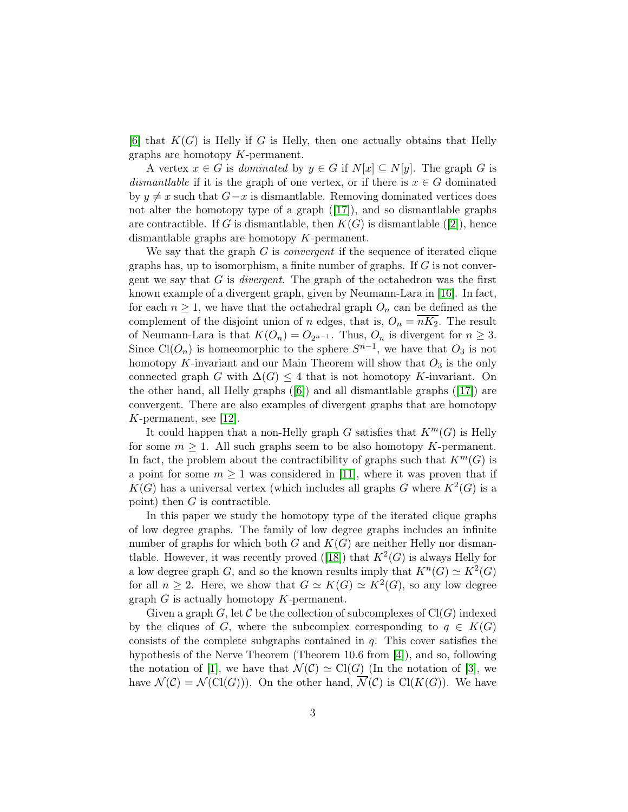[\[6\]](#page-12-4) that  $K(G)$  is Helly if G is Helly, then one actually obtains that Helly graphs are homotopy K-permanent.

A vertex  $x \in G$  is dominated by  $y \in G$  if  $N[x] \subseteq N[y]$ . The graph G is dismantlable if it is the graph of one vertex, or if there is  $x \in G$  dominated by  $y \neq x$  such that  $G-x$  is dismantlable. Removing dominated vertices does not alter the homotopy type of a graph  $([17])$  $([17])$  $([17])$ , and so dismantlable graphs are contractible. If G is dismantlable, then  $K(G)$  is dismantlable ([\[2\]](#page-11-0)), hence dismantlable graphs are homotopy K-permanent.

We say that the graph  $G$  is *convergent* if the sequence of iterated clique graphs has, up to isomorphism, a finite number of graphs. If  $G$  is not convergent we say that  $G$  is *divergent*. The graph of the octahedron was the first known example of a divergent graph, given by Neumann-Lara in [\[16\]](#page-13-1). In fact, for each  $n \geq 1$ , we have that the octahedral graph  $O_n$  can be defined as the complement of the disjoint union of n edges, that is,  $O_n = nK_2$ . The result of Neumann-Lara is that  $K(O_n) = O_{2^{n-1}}$ . Thus,  $O_n$  is divergent for  $n \geq 3$ . Since  $Cl(O_n)$  is homeomorphic to the sphere  $S^{n-1}$ , we have that  $O_3$  is not homotopy K-invariant and our Main Theorem will show that  $O_3$  is the only connected graph G with  $\Delta(G) \leq 4$  that is not homotopy K-invariant. On the other hand, all Helly graphs ([\[6\]](#page-12-4)) and all dismantlable graphs ([\[17\]](#page-13-0)) are convergent. There are also examples of divergent graphs that are homotopy K-permanent, see [\[12\]](#page-12-5).

It could happen that a non-Helly graph G satisfies that  $K^m(G)$  is Helly for some  $m \geq 1$ . All such graphs seem to be also homotopy K-permanent. In fact, the problem about the contractibility of graphs such that  $K^m(G)$  is a point for some  $m \geq 1$  was considered in [\[11\]](#page-12-6), where it was proven that if  $K(G)$  has a universal vertex (which includes all graphs G where  $K^2(G)$  is a point) then  $G$  is contractible.

In this paper we study the homotopy type of the iterated clique graphs of low degree graphs. The family of low degree graphs includes an infinite number of graphs for which both  $G$  and  $K(G)$  are neither Helly nor disman-tlable. However, it was recently proved ([\[18\]](#page-13-2)) that  $K^2(G)$  is always Helly for a low degree graph G, and so the known results imply that  $K^n(G) \simeq K^2(G)$ for all  $n \geq 2$ . Here, we show that  $G \simeq K(G) \simeq K^2(G)$ , so any low degree graph  $G$  is actually homotopy  $K$ -permanent.

Given a graph G, let C be the collection of subcomplexes of  $Cl(G)$  indexed by the cliques of G, where the subcomplex corresponding to  $q \in K(G)$ consists of the complete subgraphs contained in  $q$ . This cover satisfies the hypothesis of the Nerve Theorem (Theorem 10.6 from [\[4\]](#page-12-7)), and so, following the notation of [\[1\]](#page-11-1), we have that  $\mathcal{N}(\mathcal{C}) \simeq \text{Cl}(G)$  (In the notation of [\[3\]](#page-12-8), we have  $\mathcal{N}(\mathcal{C}) = \mathcal{N}(\mathrm{Cl}(G))$ . On the other hand,  $\overline{\mathcal{N}}(\mathcal{C})$  is  $\mathrm{Cl}(K(G))$ . We have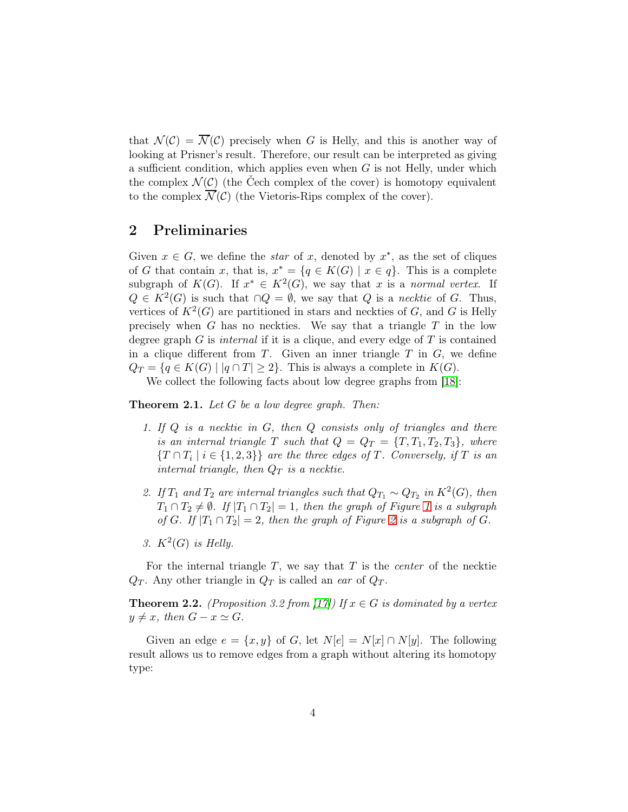that  $\mathcal{N}(\mathcal{C}) = \overline{\mathcal{N}}(\mathcal{C})$  precisely when G is Helly, and this is another way of looking at Prisner's result. Therefore, our result can be interpreted as giving a sufficient condition, which applies even when  $G$  is not Helly, under which the complex  $\mathcal{N}(\mathcal{C})$  (the Čech complex of the cover) is homotopy equivalent to the complex  $\overline{\mathcal{N}}(\mathcal{C})$  (the Vietoris-Rips complex of the cover).

### 2 Preliminaries

Given  $x \in G$ , we define the *star* of x, denoted by  $x^*$ , as the set of cliques of G that contain x, that is,  $x^* = \{q \in K(G) \mid x \in q\}$ . This is a complete subgraph of  $K(G)$ . If  $x^* \in K^2(G)$ , we say that x is a normal vertex. If  $Q \in K^2(G)$  is such that  $\cap Q = \emptyset$ , we say that Q is a necktie of G. Thus, vertices of  $K^2(G)$  are partitioned in stars and neckties of G, and G is Helly precisely when  $G$  has no neckties. We say that a triangle  $T$  in the low degree graph G is internal if it is a clique, and every edge of  $T$  is contained in a clique different from  $T$ . Given an inner triangle  $T$  in  $G$ , we define  $Q_T = \{q \in K(G) \mid |q \cap T| \geq 2\}.$  This is always a complete in  $K(G)$ .

We collect the following facts about low degree graphs from [\[18\]](#page-13-2):

<span id="page-3-2"></span><span id="page-3-1"></span>**Theorem 2.1.** Let  $G$  be a low degree graph. Then:

- 1. If  $Q$  is a necktie in  $G$ , then  $Q$  consists only of triangles and there is an internal triangle T such that  $Q = Q_T = \{T, T_1, T_2, T_3\}$ , where  $\{T \cap T_i \mid i \in \{1, 2, 3\}\}\$  are the three edges of T. Conversely, if T is an internal triangle, then  $Q_T$  is a necktie.
- 2. If  $T_1$  and  $T_2$  are internal triangles such that  $Q_{T_1} \sim Q_{T_2}$  in  $K^2(G)$ , then  $T_1 \cap T_2 \neq \emptyset$ . If  $|T_1 \cap T_2| = 1$  $|T_1 \cap T_2| = 1$ , then the graph of Figure 1 is a subgraph of G. If  $|T_1 \cap T_2| = 2$  $|T_1 \cap T_2| = 2$ , then the graph of Figure 2 is a subgraph of G.
- <span id="page-3-3"></span>3.  $K^2(G)$  is Helly.

For the internal triangle  $T$ , we say that  $T$  is the *center* of the necktie  $Q_T$ . Any other triangle in  $Q_T$  is called an ear of  $Q_T$ .

<span id="page-3-0"></span>**Theorem 2.2.** (Proposition 3.2 from [\[17\]](#page-13-0)) If  $x \in G$  is dominated by a vertex  $y \neq x$ , then  $G - x \simeq G$ .

Given an edge  $e = \{x, y\}$  of G, let  $N[e] = N[x] \cap N[y]$ . The following result allows us to remove edges from a graph without altering its homotopy type: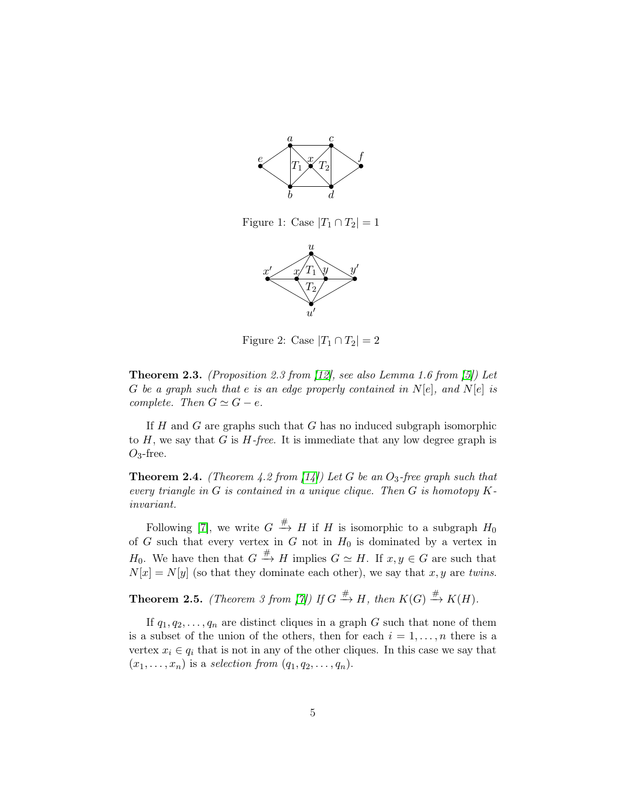

Figure 1: Case  $|T_1 \cap T_2| = 1$ 

<span id="page-4-0"></span>

<span id="page-4-1"></span>Figure 2: Case  $|T_1 \cap T_2| = 2$ 

<span id="page-4-2"></span>**Theorem 2.3.** (Proposition 2.3 from [\[12\]](#page-12-5), see also Lemma 1.6 from [\[5\]](#page-12-9)) Let G be a graph such that e is an edge properly contained in  $N[e]$ , and  $N[e]$  is complete. Then  $G \simeq G - e$ .

If  $H$  and  $G$  are graphs such that  $G$  has no induced subgraph isomorphic to  $H$ , we say that  $G$  is  $H$ -free. It is immediate that any low degree graph is  $O_3$ -free.

<span id="page-4-3"></span>**Theorem 2.4.** (Theorem 4.2 from [\[14\]](#page-12-10)) Let G be an  $O_3$ -free graph such that every triangle in  $G$  is contained in a unique clique. Then  $G$  is homotopy  $K$ invariant.

Following [\[7\]](#page-12-11), we write  $G \stackrel{\#}{\longrightarrow} H$  if H is isomorphic to a subgraph  $H_0$ of G such that every vertex in G not in  $H_0$  is dominated by a vertex in  $H_0$ . We have then that  $G \stackrel{\#}{\longrightarrow} H$  implies  $G \simeq H$ . If  $x, y \in G$  are such that  $N[x] = N[y]$  (so that they dominate each other), we say that x, y are twins.

<span id="page-4-4"></span>**Theorem 2.5.** (Theorem 3 from [\[7\]](#page-12-11)) If  $G \stackrel{\#}{\to} H$ , then  $K(G) \stackrel{\#}{\to} K(H)$ .

If  $q_1, q_2, \ldots, q_n$  are distinct cliques in a graph G such that none of them is a subset of the union of the others, then for each  $i = 1, \ldots, n$  there is a vertex  $x_i \in q_i$  that is not in any of the other cliques. In this case we say that  $(x_1, \ldots, x_n)$  is a selection from  $(q_1, q_2, \ldots, q_n)$ .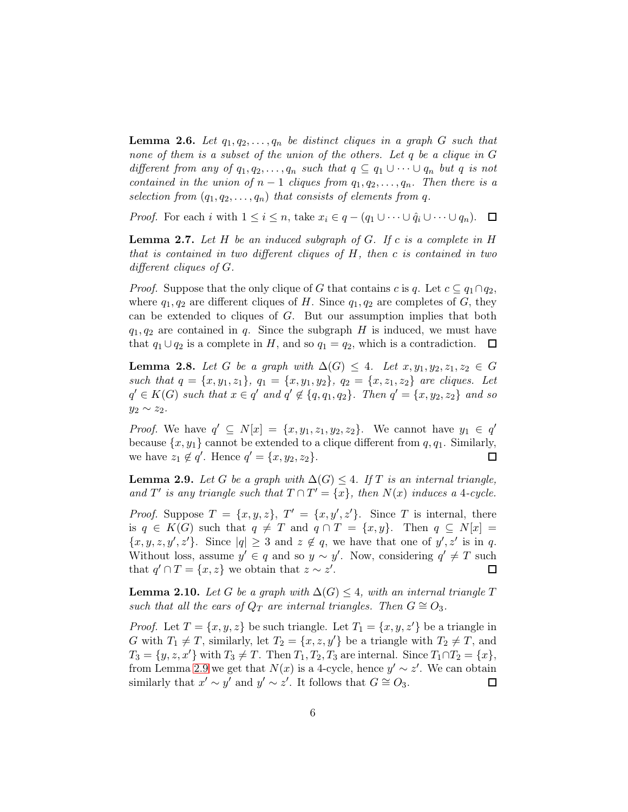<span id="page-5-4"></span>**Lemma 2.6.** Let  $q_1, q_2, \ldots, q_n$  be distinct cliques in a graph G such that none of them is a subset of the union of the others. Let q be a clique in G different from any of  $q_1, q_2, \ldots, q_n$  such that  $q \subseteq q_1 \cup \cdots \cup q_n$  but q is not contained in the union of  $n-1$  cliques from  $q_1, q_2, \ldots, q_n$ . Then there is a selection from  $(q_1, q_2, \ldots, q_n)$  that consists of elements from q.

*Proof.* For each i with  $1 \leq i \leq n$ , take  $x_i \in q - (q_1 \cup \cdots \cup \hat{q}_i \cup \cdots \cup q_n)$ .  $\Box$ 

<span id="page-5-3"></span>**Lemma 2.7.** Let  $H$  be an induced subgraph of  $G$ . If  $c$  is a complete in  $H$ that is contained in two different cliques of H, then c is contained in two different cliques of G.

*Proof.* Suppose that the only clique of G that contains c is q. Let  $c \subseteq q_1 \cap q_2$ , where  $q_1, q_2$  are different cliques of H. Since  $q_1, q_2$  are completes of G, they can be extended to cliques of G. But our assumption implies that both  $q_1, q_2$  are contained in q. Since the subgraph H is induced, we must have that  $q_1 \cup q_2$  is a complete in H, and so  $q_1 = q_2$ , which is a contradiction.  $\Box$ 

<span id="page-5-1"></span>Lemma 2.8. Let G be a graph with  $\Delta(G) \leq 4$ . Let  $x, y_1, y_2, z_1, z_2 \in G$ such that  $q = \{x, y_1, z_1\}$ ,  $q_1 = \{x, y_1, y_2\}$ ,  $q_2 = \{x, z_1, z_2\}$  are cliques. Let  $q' \in K(G)$  such that  $x \in q'$  and  $q' \notin \{q, q_1, q_2\}$ . Then  $q' = \{x, y_2, z_2\}$  and so  $y_2 \sim z_2$ .

*Proof.* We have  $q' \subseteq N[x] = \{x, y_1, z_1, y_2, z_2\}$ . We cannot have  $y_1 \in q'$ because  $\{x, y_1\}$  cannot be extended to a clique different from  $q, q_1$ . Similarly, we have  $z_1 \notin q'$ . Hence  $q' = \{x, y_2, z_2\}.$  $\Box$ 

<span id="page-5-0"></span>**Lemma 2.9.** Let G be a graph with  $\Delta(G) \leq 4$ . If T is an internal triangle, and T' is any triangle such that  $T \cap T' = \{x\}$ , then  $N(x)$  induces a 4-cycle.

*Proof.* Suppose  $T = \{x, y, z\}$ ,  $T' = \{x, y', z'\}$ . Since T is internal, there is  $q \in K(G)$  such that  $q \neq T$  and  $q \cap T = \{x, y\}$ . Then  $q \subseteq N[x] =$  $\{x, y, z, y', z'\}$ . Since  $|q| \geq 3$  and  $z \notin q$ , we have that one of  $y', z'$  is in q. Without loss, assume  $y' \in q$  and so  $y \sim y'$ . Now, considering  $q' \neq T$  such that  $q' \cap T = \{x, z\}$  we obtain that  $z \sim z'$ .  $\Box$ 

<span id="page-5-2"></span>**Lemma 2.10.** Let G be a graph with  $\Delta(G) \leq 4$ , with an internal triangle T such that all the ears of  $Q_T$  are internal triangles. Then  $G \cong O_3$ .

*Proof.* Let  $T = \{x, y, z\}$  be such triangle. Let  $T_1 = \{x, y, z'\}$  be a triangle in G with  $T_1 \neq T$ , similarly, let  $T_2 = \{x, z, y'\}$  be a triangle with  $T_2 \neq T$ , and  $T_3 = \{y, z, x'\}$  with  $T_3 \neq T$ . Then  $T_1, T_2, T_3$  are internal. Since  $T_1 \cap T_2 = \{x\},$ from Lemma [2.9](#page-5-0) we get that  $N(x)$  is a 4-cycle, hence  $y' \sim z'$ . We can obtain similarly that  $x' \sim y'$  and  $y' \sim z'$ . It follows that  $G \cong O_3$ .  $\Box$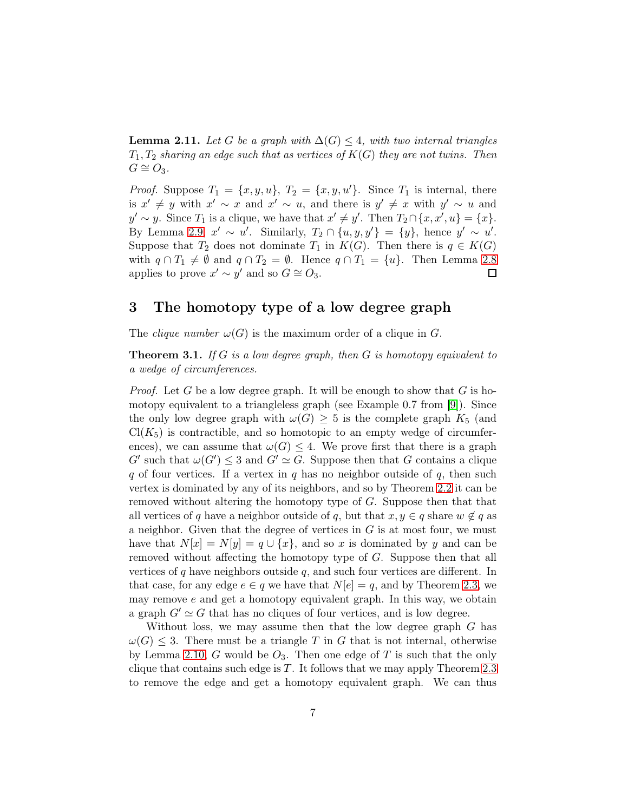<span id="page-6-0"></span>**Lemma 2.11.** Let G be a graph with  $\Delta(G) \leq 4$ , with two internal triangles  $T_1, T_2$  sharing an edge such that as vertices of  $K(G)$  they are not twins. Then  $G \cong O_3$ .

*Proof.* Suppose  $T_1 = \{x, y, u\}$ ,  $T_2 = \{x, y, u'\}$ . Since  $T_1$  is internal, there is  $x' \neq y$  with  $x' \sim x$  and  $x' \sim u$ , and there is  $y' \neq x$  with  $y' \sim u$  and  $y' \sim y$ . Since  $T_1$  is a clique, we have that  $x' \neq y'$ . Then  $T_2 \cap \{x, x', u\} = \{x\}$ . By Lemma [2.9,](#page-5-0)  $x' \sim u'$ . Similarly,  $T_2 \cap \{u, y, y'\} = \{y\}$ , hence  $y' \sim u'$ . Suppose that  $T_2$  does not dominate  $T_1$  in  $K(G)$ . Then there is  $q \in K(G)$ with  $q \cap T_1 \neq \emptyset$  and  $q \cap T_2 = \emptyset$ . Hence  $q \cap T_1 = \{u\}$ . Then Lemma [2.8](#page-5-1) applies to prove  $x' \sim y'$  and so  $G \cong O_3$ .  $\Box$ 

#### 3 The homotopy type of a low degree graph

The *clique number*  $\omega(G)$  is the maximum order of a clique in G.

**Theorem 3.1.** If G is a low degree graph, then G is homotopy equivalent to a wedge of circumferences.

*Proof.* Let G be a low degree graph. It will be enough to show that G is homotopy equivalent to a triangleless graph (see Example 0.7 from [\[9\]](#page-12-12)). Since the only low degree graph with  $\omega(G) \geq 5$  is the complete graph  $K_5$  (and  $Cl(K_5)$  is contractible, and so homotopic to an empty wedge of circumferences), we can assume that  $\omega(G) \leq 4$ . We prove first that there is a graph  $G'$  such that  $\omega(G') \leq 3$  and  $G' \simeq G$ . Suppose then that G contains a clique q of four vertices. If a vertex in q has no neighbor outside of  $q$ , then such vertex is dominated by any of its neighbors, and so by Theorem [2.2](#page-3-0) it can be removed without altering the homotopy type of  $G$ . Suppose then that that all vertices of q have a neighbor outside of q, but that  $x, y \in q$  share  $w \notin q$  as a neighbor. Given that the degree of vertices in  $G$  is at most four, we must have that  $N[x] = N[y] = q \cup \{x\}$ , and so x is dominated by y and can be removed without affecting the homotopy type of G. Suppose then that all vertices of q have neighbors outside  $q$ , and such four vertices are different. In that case, for any edge  $e \in q$  we have that  $N[e] = q$ , and by Theorem [2.3,](#page-4-2) we may remove  $e$  and get a homotopy equivalent graph. In this way, we obtain a graph  $G' \simeq G$  that has no cliques of four vertices, and is low degree.

Without loss, we may assume then that the low degree graph  $G$  has  $\omega(G) \leq 3$ . There must be a triangle T in G that is not internal, otherwise by Lemma [2.10,](#page-5-2) G would be  $O_3$ . Then one edge of T is such that the only clique that contains such edge is T. It follows that we may apply Theorem [2.3](#page-4-2) to remove the edge and get a homotopy equivalent graph. We can thus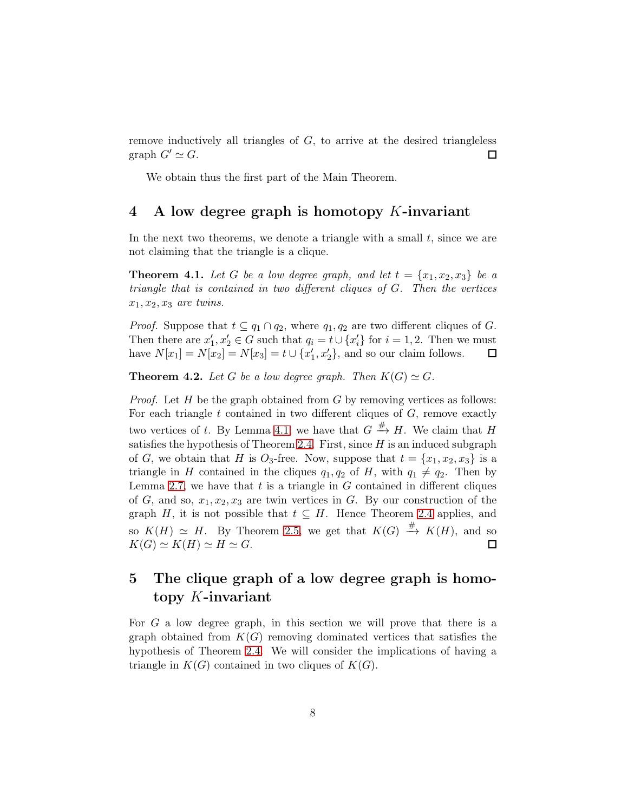remove inductively all triangles of  $G$ , to arrive at the desired triangleless graph  $G' \simeq G$ .  $\Box$ 

We obtain thus the first part of the Main Theorem.

#### 4 A low degree graph is homotopy K-invariant

In the next two theorems, we denote a triangle with a small  $t$ , since we are not claiming that the triangle is a clique.

<span id="page-7-0"></span>**Theorem 4.1.** Let G be a low degree graph, and let  $t = \{x_1, x_2, x_3\}$  be a triangle that is contained in two different cliques of G. Then the vertices  $x_1, x_2, x_3$  are twins.

*Proof.* Suppose that  $t \subseteq q_1 \cap q_2$ , where  $q_1, q_2$  are two different cliques of G. Then there are  $x_1'$  $q_1, x_2' \in G$  such that  $q_i = t \cup \{x_i'\}$  for  $i = 1, 2$ . Then we must have  $N[x_1] = N[x_2] = N[x_3] = t \cup \{x_1\}$  $\{1, x'_2\}$ , and so our claim follows.  $\Box$ 

<span id="page-7-1"></span>**Theorem 4.2.** Let G be a low degree graph. Then  $K(G) \simeq G$ .

*Proof.* Let  $H$  be the graph obtained from  $G$  by removing vertices as follows: For each triangle  $t$  contained in two different cliques of  $G$ , remove exactly two vertices of t. By Lemma [4.1,](#page-7-0) we have that  $G \stackrel{\#}{\longrightarrow} H$ . We claim that H satisfies the hypothesis of Theorem [2.4.](#page-4-3) First, since  $H$  is an induced subgraph of G, we obtain that H is  $O_3$ -free. Now, suppose that  $t = \{x_1, x_2, x_3\}$  is a triangle in H contained in the cliques  $q_1, q_2$  of H, with  $q_1 \neq q_2$ . Then by Lemma [2.7,](#page-5-3) we have that  $t$  is a triangle in  $G$  contained in different cliques of G, and so,  $x_1, x_2, x_3$  are twin vertices in G. By our construction of the graph H, it is not possible that  $t \subseteq H$ . Hence Theorem [2.4](#page-4-3) applies, and so  $K(H) \simeq H$ . By Theorem [2.5,](#page-4-4) we get that  $K(G) \stackrel{\#}{\rightarrow} K(H)$ , and so  $K(G) \simeq K(H) \simeq H \simeq G.$  $\Box$ 

## 5 The clique graph of a low degree graph is homotopy K-invariant

For G a low degree graph, in this section we will prove that there is a graph obtained from  $K(G)$  removing dominated vertices that satisfies the hypothesis of Theorem [2.4.](#page-4-3) We will consider the implications of having a triangle in  $K(G)$  contained in two cliques of  $K(G)$ .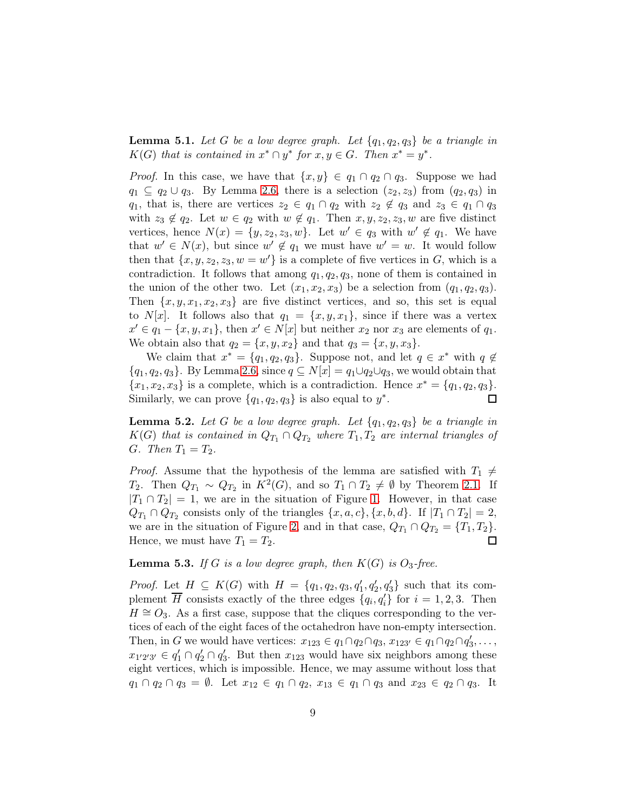<span id="page-8-1"></span>**Lemma 5.1.** Let G be a low degree graph. Let  $\{q_1, q_2, q_3\}$  be a triangle in  $K(G)$  that is contained in  $x^* \cap y^*$  for  $x, y \in G$ . Then  $x^* = y^*$ .

*Proof.* In this case, we have that  $\{x, y\} \in q_1 \cap q_2 \cap q_3$ . Suppose we had  $q_1 \subseteq q_2 \cup q_3$ . By Lemma [2.6,](#page-5-4) there is a selection  $(z_2, z_3)$  from  $(q_2, q_3)$  in  $q_1$ , that is, there are vertices  $z_2 \in q_1 \cap q_2$  with  $z_2 \notin q_3$  and  $z_3 \in q_1 \cap q_3$ with  $z_3 \notin q_2$ . Let  $w \in q_2$  with  $w \notin q_1$ . Then  $x, y, z_2, z_3, w$  are five distinct vertices, hence  $N(x) = \{y, z_2, z_3, w\}$ . Let  $w' \in q_3$  with  $w' \notin q_1$ . We have that  $w' \in N(x)$ , but since  $w' \notin q_1$  we must have  $w' = w$ . It would follow then that  $\{x, y, z_2, z_3, w = w'\}$  is a complete of five vertices in G, which is a contradiction. It follows that among  $q_1, q_2, q_3$ , none of them is contained in the union of the other two. Let  $(x_1, x_2, x_3)$  be a selection from  $(q_1, q_2, q_3)$ . Then  $\{x, y, x_1, x_2, x_3\}$  are five distinct vertices, and so, this set is equal to N[x]. It follows also that  $q_1 = \{x, y, x_1\}$ , since if there was a vertex  $x' \in q_1 - \{x, y, x_1\}$ , then  $x' \in N[x]$  but neither  $x_2$  nor  $x_3$  are elements of  $q_1$ . We obtain also that  $q_2 = \{x, y, x_2\}$  and that  $q_3 = \{x, y, x_3\}.$ 

We claim that  $x^* = \{q_1, q_2, q_3\}$ . Suppose not, and let  $q \in x^*$  with  $q \notin$  ${q_1, q_2, q_3}$ . By Lemma [2.6,](#page-5-4) since  $q \subseteq N[x] = q_1 \cup q_2 \cup q_3$ , we would obtain that  ${x_1, x_2, x_3}$  is a complete, which is a contradiction. Hence  $x^* = {q_1, q_2, q_3}$ . Similarly, we can prove  $\{q_1, q_2, q_3\}$  is also equal to  $y^*$ .  $\Box$ 

<span id="page-8-2"></span>**Lemma 5.2.** Let G be a low degree graph. Let  $\{q_1, q_2, q_3\}$  be a triangle in  $K(G)$  that is contained in  $Q_{T_1} \cap Q_{T_2}$  where  $T_1, T_2$  are internal triangles of G. Then  $T_1 = T_2$ .

*Proof.* Assume that the hypothesis of the lemma are satisfied with  $T_1 \neq T_2$ T<sub>2</sub>. Then  $Q_{T_1} \sim Q_{T_2}$  in  $K^2(G)$ , and so  $T_1 \cap T_2 \neq \emptyset$  by Theorem [2.1.](#page-3-1) If  $|T_1 \cap T_2| = 1$ , we are in the situation of Figure [1.](#page-4-0) However, in that case  $Q_{T_1} \cap Q_{T_2}$  consists only of the triangles  $\{x, a, c\}, \{x, b, d\}$ . If  $|T_1 \cap T_2| = 2$ , we are in the situation of Figure [2,](#page-4-1) and in that case,  $Q_{T_1} \cap Q_{T_2} = \{T_1, T_2\}.$ Hence, we must have  $T_1 = T_2$ .  $\Box$ 

<span id="page-8-0"></span>**Lemma 5.3.** If G is a low degree graph, then  $K(G)$  is  $O_3$ -free.

*Proof.* Let  $H \subseteq K(G)$  with  $H = \{q_1, q_2, q_3, q'_1, q'_2, q'_3\}$  such that its complement  $\overline{H}$  consists exactly of the three edges  $\{q_i, q'_i\}$  for  $i = 1, 2, 3$ . Then  $H \cong O_3$ . As a first case, suppose that the cliques corresponding to the vertices of each of the eight faces of the octahedron have non-empty intersection. Then, in G we would have vertices:  $x_{123} \in q_1 \cap q_2 \cap q_3$ ,  $x_{123'} \in q_1 \cap q_2 \cap q_3'$  $'_{3},\ldots,$  $x_{1'2'3'} \in q'_1 \cap q'_2 \cap q'_3$  $\zeta$ . But then  $x_{123}$  would have six neighbors among these eight vertices, which is impossible. Hence, we may assume without loss that  $q_1 \cap q_2 \cap q_3 = \emptyset$ . Let  $x_{12} \in q_1 \cap q_2$ ,  $x_{13} \in q_1 \cap q_3$  and  $x_{23} \in q_2 \cap q_3$ . It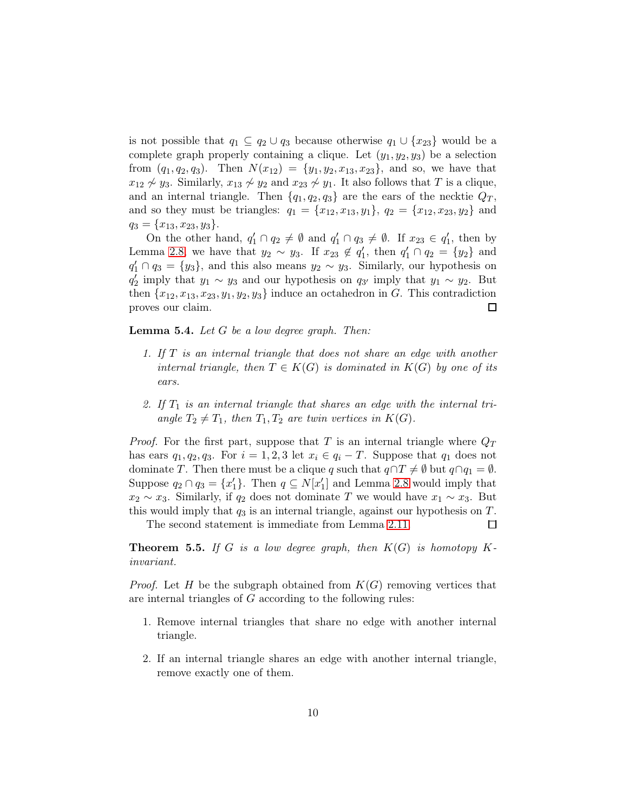is not possible that  $q_1 \subseteq q_2 \cup q_3$  because otherwise  $q_1 \cup \{x_{23}\}$  would be a complete graph properly containing a clique. Let  $(y_1, y_2, y_3)$  be a selection from  $(q_1, q_2, q_3)$ . Then  $N(x_{12}) = \{y_1, y_2, x_{13}, x_{23}\}$ , and so, we have that  $x_{12} \nless y_3$ . Similarly,  $x_{13} \nless y_2$  and  $x_{23} \nless y_1$ . It also follows that T is a clique, and an internal triangle. Then  $\{q_1, q_2, q_3\}$  are the ears of the necktie  $Q_T$ , and so they must be triangles:  $q_1 = \{x_{12}, x_{13}, y_1\}, q_2 = \{x_{12}, x_{23}, y_2\}$  and  $q_3 = \{x_{13}, x_{23}, y_3\}.$ 

On the other hand,  $q'_1 \cap q_2 \neq \emptyset$  and  $q'_1 \cap q_3 \neq \emptyset$ . If  $x_{23} \in q'_1$  $_1',$  then by Lemma [2.8,](#page-5-1) we have that  $y_2 \sim y_3$ . If  $x_{23} \notin q_1'$  $q'_1$ , then  $q'_1 \cap q_2 = \{y_2\}$  and  $q'_1 \cap q_3 = \{y_3\}$ , and this also means  $y_2 \sim y_3$ . Similarly, our hypothesis on  $q_2^{\prime}$  $y'_2$  imply that  $y_1 \sim y_3$  and our hypothesis on  $q_{3'}$  imply that  $y_1 \sim y_2$ . But then  ${x_{12}, x_{13}, x_{23}, y_1, y_2, y_3}$  induce an octahedron in G. This contradiction proves our claim.  $\Box$ 

<span id="page-9-0"></span>**Lemma 5.4.** Let  $G$  be a low degree graph. Then:

- 1. If T is an internal triangle that does not share an edge with another internal triangle, then  $T \in K(G)$  is dominated in  $K(G)$  by one of its ears.
- 2. If  $T_1$  is an internal triangle that shares an edge with the internal triangle  $T_2 \neq T_1$ , then  $T_1, T_2$  are twin vertices in  $K(G)$ .

*Proof.* For the first part, suppose that T is an internal triangle where  $Q_T$ has ears  $q_1, q_2, q_3$ . For  $i = 1, 2, 3$  let  $x_i \in q_i - T$ . Suppose that  $q_1$  does not dominate T. Then there must be a clique q such that  $q \cap T \neq \emptyset$  but  $q \cap q_1 = \emptyset$ . Suppose  $q_2 \cap q_3 = \{x'_1\}$  $\{1\}$ . Then  $q \subseteq N[x']$  $'_{1}$ ] and Lemma [2.8](#page-5-1) would imply that  $x_2 \sim x_3$ . Similarly, if  $q_2$  does not dominate T we would have  $x_1 \sim x_3$ . But this would imply that  $q_3$  is an internal triangle, against our hypothesis on T.  $\Box$ 

The second statement is immediate from Lemma [2.11.](#page-6-0)

<span id="page-9-1"></span>**Theorem 5.5.** If G is a low degree graph, then  $K(G)$  is homotopy Kinvariant.

*Proof.* Let H be the subgraph obtained from  $K(G)$  removing vertices that are internal triangles of G according to the following rules:

- 1. Remove internal triangles that share no edge with another internal triangle.
- 2. If an internal triangle shares an edge with another internal triangle, remove exactly one of them.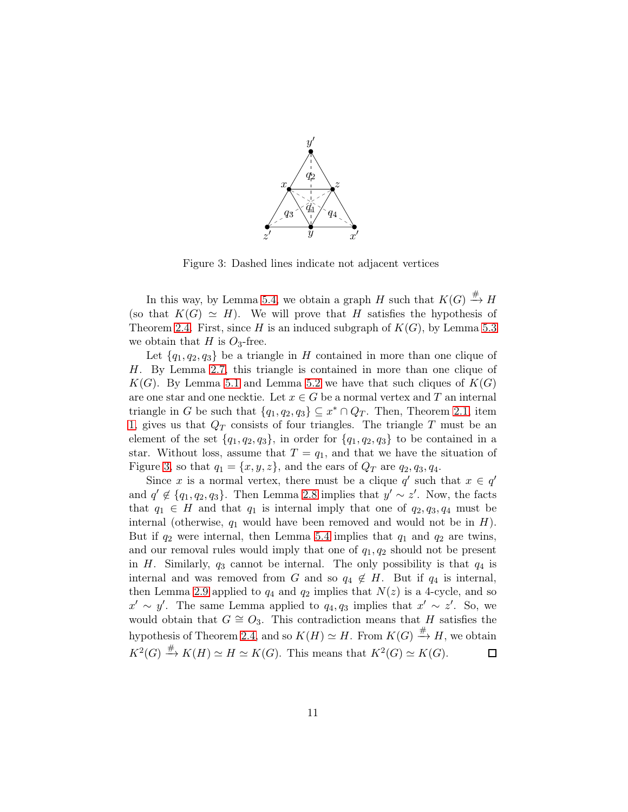

<span id="page-10-0"></span>Figure 3: Dashed lines indicate not adjacent vertices

In this way, by Lemma [5.4,](#page-9-0) we obtain a graph H such that  $K(G) \stackrel{\#}{\rightarrow} H$ (so that  $K(G) \simeq H$ ). We will prove that H satisfies the hypothesis of Theorem [2.4.](#page-4-3) First, since H is an induced subgraph of  $K(G)$ , by Lemma [5.3](#page-8-0) we obtain that H is  $O_3$ -free.

Let  $\{q_1, q_2, q_3\}$  be a triangle in H contained in more than one clique of H. By Lemma [2.7,](#page-5-3) this triangle is contained in more than one clique of  $K(G)$ . By Lemma [5.1](#page-8-1) and Lemma [5.2](#page-8-2) we have that such cliques of  $K(G)$ are one star and one necktie. Let  $x \in G$  be a normal vertex and T an internal triangle in G be such that  $\{q_1, q_2, q_3\} \subseteq x^* \cap Q_T$ . Then, Theorem [2.1,](#page-3-1) item [1,](#page-3-2) gives us that  $Q_T$  consists of four triangles. The triangle T must be an element of the set  $\{q_1, q_2, q_3\}$ , in order for  $\{q_1, q_2, q_3\}$  to be contained in a star. Without loss, assume that  $T = q_1$ , and that we have the situation of Figure [3,](#page-10-0) so that  $q_1 = \{x, y, z\}$ , and the ears of  $Q_T$  are  $q_2, q_3, q_4$ .

Since x is a normal vertex, there must be a clique  $q'$  such that  $x \in q'$ and  $q' \notin \{q_1, q_2, q_3\}$ . Then Lemma [2.8](#page-5-1) implies that  $y' \sim z'$ . Now, the facts that  $q_1 \in H$  and that  $q_1$  is internal imply that one of  $q_2, q_3, q_4$  must be internal (otherwise,  $q_1$  would have been removed and would not be in  $H$ ). But if  $q_2$  were internal, then Lemma [5.4](#page-9-0) implies that  $q_1$  and  $q_2$  are twins, and our removal rules would imply that one of  $q_1, q_2$  should not be present in H. Similarly,  $q_3$  cannot be internal. The only possibility is that  $q_4$  is internal and was removed from G and so  $q_4 \notin H$ . But if  $q_4$  is internal, then Lemma [2.9](#page-5-0) applied to  $q_4$  and  $q_2$  implies that  $N(z)$  is a 4-cycle, and so  $x' \sim y'$ . The same Lemma applied to  $q_4, q_3$  implies that  $x' \sim z'$ . So, we would obtain that  $G \cong O_3$ . This contradiction means that H satisfies the hypothesis of Theorem [2.4,](#page-4-3) and so  $K(H) \simeq H$ . From  $K(G) \stackrel{\#}{\rightarrow} H$ , we obtain  $K^2(G) \stackrel{\#}{\longrightarrow} K(H) \simeq H \simeq K(G)$ . This means that  $K^2(G) \simeq K(G)$ .  $\Box$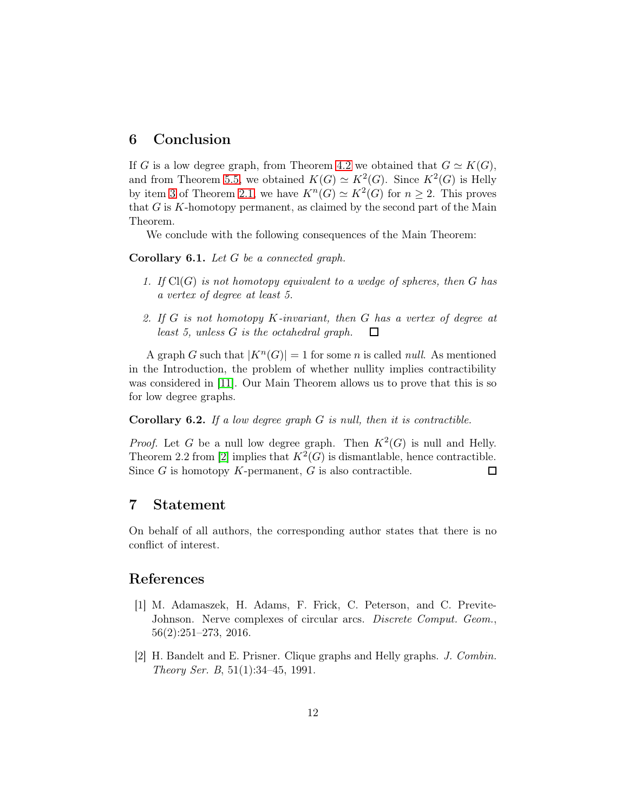#### 6 Conclusion

If G is a low degree graph, from Theorem [4.2](#page-7-1) we obtained that  $G \simeq K(G)$ , and from Theorem [5.5,](#page-9-1) we obtained  $K(G) \simeq K^2(G)$ . Since  $K^2(G)$  is Helly by item [3](#page-3-3) of Theorem [2.1,](#page-3-1) we have  $K^n(G) \simeq K^2(G)$  for  $n \geq 2$ . This proves that  $G$  is  $K$ -homotopy permanent, as claimed by the second part of the Main Theorem.

We conclude with the following consequences of the Main Theorem:

Corollary 6.1. Let G be a connected graph.

- 1. If  $Cl(G)$  is not homotopy equivalent to a wedge of spheres, then G has a vertex of degree at least 5.
- 2. If G is not homotopy K-invariant, then G has a vertex of degree at least 5, unless G is the octahedral graph.  $\Box$

A graph G such that  $|K^n(G)| = 1$  for some n is called *null.* As mentioned in the Introduction, the problem of whether nullity implies contractibility was considered in [\[11\]](#page-12-6). Our Main Theorem allows us to prove that this is so for low degree graphs.

**Corollary 6.2.** If a low degree graph  $G$  is null, then it is contractible.

*Proof.* Let G be a null low degree graph. Then  $K^2(G)$  is null and Helly. Theorem 2.2 from [\[2\]](#page-11-0) implies that  $K^2(G)$  is dismantlable, hence contractible. Since  $G$  is homotopy  $K$ -permanent,  $G$  is also contractible.  $\Box$ 

#### 7 Statement

On behalf of all authors, the corresponding author states that there is no conflict of interest.

#### <span id="page-11-1"></span>References

- [1] M. Adamaszek, H. Adams, F. Frick, C. Peterson, and C. Previte-Johnson. Nerve complexes of circular arcs. *Discrete Comput. Geom.*, 56(2):251–273, 2016.
- <span id="page-11-0"></span>[2] H. Bandelt and E. Prisner. Clique graphs and Helly graphs. J. Combin. Theory Ser. B, 51(1):34–45, 1991.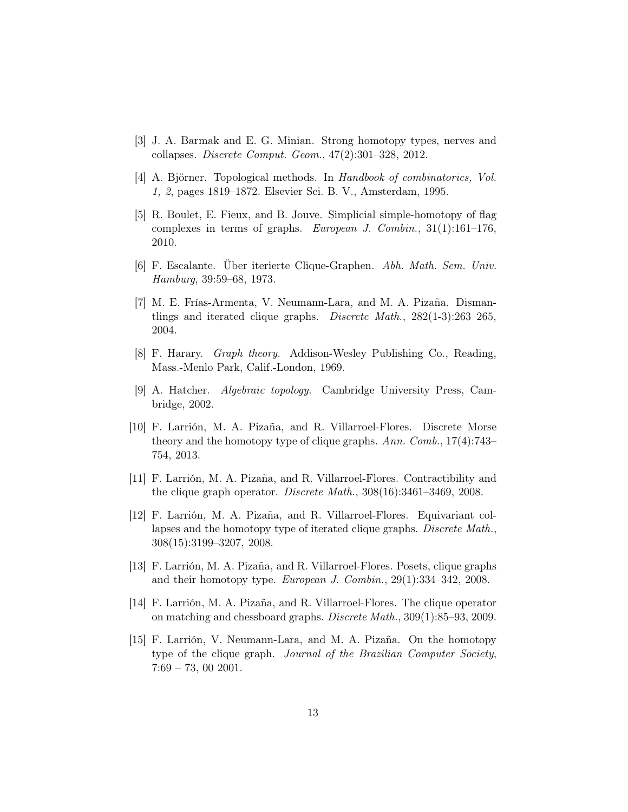- <span id="page-12-8"></span><span id="page-12-7"></span>[3] J. A. Barmak and E. G. Minian. Strong homotopy types, nerves and collapses. Discrete Comput. Geom., 47(2):301–328, 2012.
- <span id="page-12-9"></span>[4] A. Björner. Topological methods. In Handbook of combinatorics, Vol. 1, 2, pages 1819–1872. Elsevier Sci. B. V., Amsterdam, 1995.
- [5] R. Boulet, E. Fieux, and B. Jouve. Simplicial simple-homotopy of flag complexes in terms of graphs. European J. Combin., 31(1):161–176, 2010.
- <span id="page-12-11"></span><span id="page-12-4"></span>[6] F. Escalante. Über iterierte Clique-Graphen. Abh. Math. Sem. Univ. Hamburg, 39:59–68, 1973.
- [7] M. E. Frías-Armenta, V. Neumann-Lara, and M. A. Pizaña. Dismantlings and iterated clique graphs. Discrete Math., 282(1-3):263–265, 2004.
- <span id="page-12-12"></span><span id="page-12-0"></span>[8] F. Harary. Graph theory. Addison-Wesley Publishing Co., Reading, Mass.-Menlo Park, Calif.-London, 1969.
- [9] A. Hatcher. Algebraic topology. Cambridge University Press, Cambridge, 2002.
- <span id="page-12-1"></span>[10] F. Larrión, M. A. Pizaña, and R. Villarroel-Flores. Discrete Morse theory and the homotopy type of clique graphs. Ann. Comb., 17(4):743– 754, 2013.
- <span id="page-12-6"></span>[11] F. Larrión, M. A. Pizaña, and R. Villarroel-Flores. Contractibility and the clique graph operator. Discrete Math., 308(16):3461–3469, 2008.
- <span id="page-12-5"></span>[12] F. Larrión, M. A. Pizaña, and R. Villarroel-Flores. Equivariant collapses and the homotopy type of iterated clique graphs. Discrete Math., 308(15):3199–3207, 2008.
- <span id="page-12-3"></span>[13] F. Larrión, M. A. Pizaña, and R. Villarroel-Flores. Posets, clique graphs and their homotopy type. European J. Combin., 29(1):334–342, 2008.
- <span id="page-12-10"></span>[14] F. Larrión, M. A. Pizaña, and R. Villarroel-Flores. The clique operator on matching and chessboard graphs. Discrete Math., 309(1):85–93, 2009.
- <span id="page-12-2"></span>[15] F. Larrión, V. Neumann-Lara, and M. A. Pizaña. On the homotopy type of the clique graph. Journal of the Brazilian Computer Society, 7:69 – 73, 00 2001.